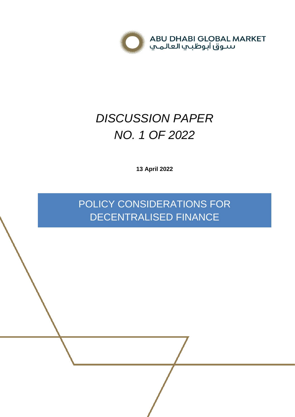

# *DISCUSSION PAPER NO. 1 OF 2022*

**13 April 2022**

POLICY CONSIDERATIONS FOR DECENTRALISED FINANCE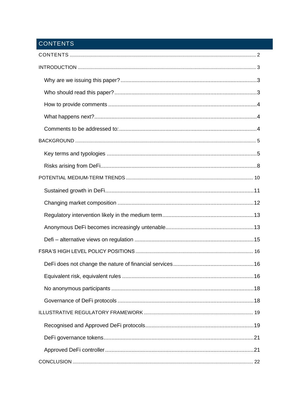# <span id="page-1-0"></span>CONTENTS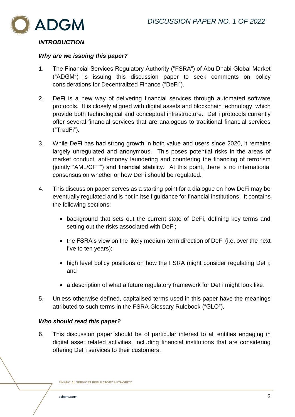

# <span id="page-2-0"></span>*INTRODUCTION*

#### <span id="page-2-1"></span>*Why are we issuing this paper?*

- 1. The Financial Services Regulatory Authority ("FSRA") of Abu Dhabi Global Market ("ADGM") is issuing this discussion paper to seek comments on policy considerations for Decentralized Finance ("DeFi").
- 2. DeFi is a new way of delivering financial services through automated software protocols. It is closely aligned with digital assets and blockchain technology, which provide both technological and conceptual infrastructure. DeFi protocols currently offer several financial services that are analogous to traditional financial services ("TradFi").
- 3. While DeFi has had strong growth in both value and users since 2020, it remains largely unregulated and anonymous. This poses potential risks in the areas of market conduct, anti-money laundering and countering the financing of terrorism (jointly "AML/CFT") and financial stability. At this point, there is no international consensus on whether or how DeFi should be regulated.
- 4. This discussion paper serves as a starting point for a dialogue on how DeFi may be eventually regulated and is not in itself guidance for financial institutions. It contains the following sections:
	- background that sets out the current state of DeFi, defining key terms and setting out the risks associated with DeFi;
	- the FSRA's view on the likely medium-term direction of DeFi (i.e. over the next five to ten years);
	- high level policy positions on how the FSRA might consider regulating DeFi; and
	- a description of what a future regulatory framework for DeFi might look like.
- 5. Unless otherwise defined, capitalised terms used in this paper have the meanings attributed to such terms in the FSRA Glossary Rulebook ("GLO").

# <span id="page-2-2"></span>*Who should read this paper?*

6. This discussion paper should be of particular interest to all entities engaging in digital asset related activities, including financial institutions that are considering offering DeFi services to their customers.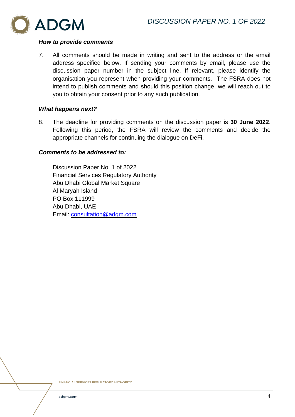

# <span id="page-3-0"></span>*How to provide comments*

7. All comments should be made in writing and sent to the address or the email address specified below. If sending your comments by email, please use the discussion paper number in the subject line. If relevant, please identify the organisation you represent when providing your comments. The FSRA does not intend to publish comments and should this position change, we will reach out to you to obtain your consent prior to any such publication.

# <span id="page-3-1"></span>*What happens next?*

8. The deadline for providing comments on the discussion paper is **30 June 2022**. Following this period, the FSRA will review the comments and decide the appropriate channels for continuing the dialogue on DeFi.

# <span id="page-3-2"></span>*Comments to be addressed to:*

Discussion Paper No. 1 of 2022 Financial Services Regulatory Authority Abu Dhabi Global Market Square Al Maryah Island PO Box 111999 Abu Dhabi, UAE Email: [consultation@adgm.com](mailto:consultation@adgm.com)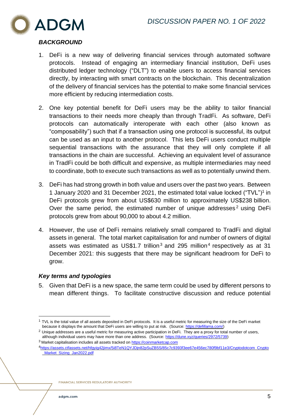

# <span id="page-4-0"></span>*BACKGROUND*

- 1. DeFi is a new way of delivering financial services through automated software protocols. Instead of engaging an intermediary financial institution, DeFi uses distributed ledger technology ("DLT") to enable users to access financial services directly, by interacting with smart contracts on the blockchain. This decentralization of the delivery of financial services has the potential to make some financial services more efficient by reducing intermediation costs.
- 2. One key potential benefit for DeFi users may be the ability to tailor financial transactions to their needs more cheaply than through TradFi. As software, DeFi protocols can automatically interoperate with each other (also known as "composability") such that if a transaction using one protocol is successful, its output can be used as an input to another protocol. This lets DeFi users conduct multiple sequential transactions with the assurance that they will only complete if all transactions in the chain are successful. Achieving an equivalent level of assurance in TradFi could be both difficult and expensive, as multiple intermediaries may need to coordinate, both to execute such transactions as well as to potentially unwind them.
- 3. DeFi has had strong growth in both value and users over the past two years. Between 1 January 2020 and 31 December 2021, the estimated total value locked ("TVL")<sup>1</sup> in DeFi protocols grew from about US\$630 million to approximately US\$238 billion. Over the same period, the estimated number of unique addresses<sup>2</sup> using DeFi protocols grew from about 90,000 to about 4.2 million.
- 4. However, the use of DeFi remains relatively small compared to TradFi and digital assets in general. The total market capitalisation for and number of owners of digital assets was estimated as US\$1.7 trillion<sup>3</sup> and 295 million<sup>4</sup> respectively as at 31 December 2021: this suggests that there may be significant headroom for DeFi to grow.

# <span id="page-4-1"></span>*Key terms and typologies*

5. Given that DeFi is a new space, the same term could be used by different persons to mean different things. To facilitate constructive discussion and reduce potential

 $1$  TVL is the total value of all assets deposited in DeFi protocols. It is a useful metric for measuring the size of the DeFi market because it displays the amount that DeFi users are willing to put at risk. (Source: [https://defillama.com/\)](https://defillama.com/)

<sup>&</sup>lt;sup>2</sup> Unique addresses are a useful metric for measuring active participation in DeFi. They are a proxy for total number of users, although individual users may have more than one address. (Source[: https://dune.xyz/queries/2972/5739\)](https://dune.xyz/queries/2972/5739)

<sup>&</sup>lt;sup>3</sup> Market capitalisation includes all assets tracked on https://coinmarketcap.com <sup>4</sup>[https://assets.ctfassets.net/hfgyig42jimx/5i8TeN1QYJDjn82pSuZB5S/85c7c9393f3ee67e456ec780f9bf11e3/Cryptodotcom\\_Crypto](https://assets.ctfassets.net/hfgyig42jimx/5i8TeN1QYJDjn82pSuZB5S/85c7c9393f3ee67e456ec780f9bf11e3/Cryptodotcom_Crypto_Market_Sizing_Jan2022.pdf) [\\_Market\\_Sizing\\_Jan2022.pdf](https://assets.ctfassets.net/hfgyig42jimx/5i8TeN1QYJDjn82pSuZB5S/85c7c9393f3ee67e456ec780f9bf11e3/Cryptodotcom_Crypto_Market_Sizing_Jan2022.pdf)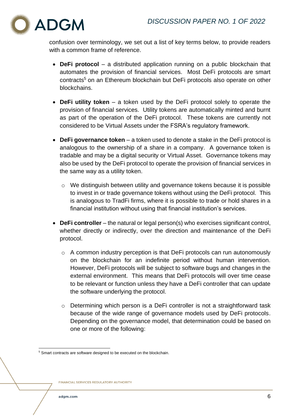

confusion over terminology, we set out a list of key terms below, to provide readers with a common frame of reference.

- **DeFi protocol** a distributed application running on a public blockchain that automates the provision of financial services. Most DeFi protocols are smart contracts<sup>5</sup> on an Ethereum blockchain but DeFi protocols also operate on other blockchains.
- **DeFi utility token** a token used by the DeFi protocol solely to operate the provision of financial services. Utility tokens are automatically minted and burnt as part of the operation of the DeFi protocol. These tokens are currently not considered to be Virtual Assets under the FSRA's regulatory framework.
- **DeFi governance token** a token used to denote a stake in the DeFi protocol is analogous to the ownership of a share in a company. A governance token is tradable and may be a digital security or Virtual Asset. Governance tokens may also be used by the DeFi protocol to operate the provision of financial services in the same way as a utility token.
	- o We distinguish between utility and governance tokens because it is possible to invest in or trade governance tokens without using the DeFi protocol. This is analogous to TradFi firms, where it is possible to trade or hold shares in a financial institution without using that financial institution's services.
- **DeFi controller** the natural or legal person(s) who exercises significant control, whether directly or indirectly, over the direction and maintenance of the DeFi protocol.
	- o A common industry perception is that DeFi protocols can run autonomously on the blockchain for an indefinite period without human intervention. However, DeFi protocols will be subject to software bugs and changes in the external environment. This means that DeFi protocols will over time cease to be relevant or function unless they have a DeFi controller that can update the software underlying the protocol.
	- o Determining which person is a DeFi controller is not a straightforward task because of the wide range of governance models used by DeFi protocols. Depending on the governance model, that determination could be based on one or more of the following:

<sup>&</sup>lt;sup>5</sup> Smart contracts are software designed to be executed on the blockchain.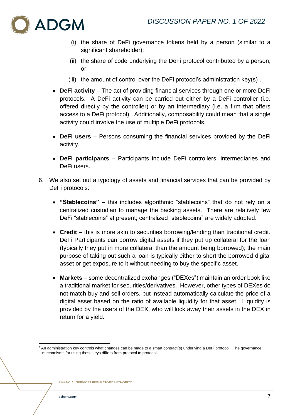

- (i) the share of DeFi governance tokens held by a person (similar to a significant shareholder);
- (ii) the share of code underlying the DeFi protocol contributed by a person; or
- (iii) the amount of control over the DeFi protocol's administration key(s)<sup>6</sup>.
- **DeFi activity** The act of providing financial services through one or more DeFi protocols. A DeFi activity can be carried out either by a DeFi controller (i.e. offered directly by the controller) or by an intermediary (i.e. a firm that offers access to a DeFi protocol). Additionally, composability could mean that a single activity could involve the use of multiple DeFi protocols.
- **DeFi users** Persons consuming the financial services provided by the DeFi activity.
- **DeFi participants**  Participants include DeFi controllers, intermediaries and DeFi users.
- 6. We also set out a typology of assets and financial services that can be provided by DeFi protocols:
	- **"Stablecoins"** this includes algorithmic "stablecoins" that do not rely on a centralized custodian to manage the backing assets. There are relatively few DeFi "stablecoins" at present; centralized "stablecoins" are widely adopted.
	- **Credit** this is more akin to securities borrowing/lending than traditional credit. DeFi Participants can borrow digital assets if they put up collateral for the loan (typically they put in more collateral than the amount being borrowed); the main purpose of taking out such a loan is typically either to short the borrowed digital asset or get exposure to it without needing to buy the specific asset.
	- **Markets** some decentralized exchanges ("DEXes") maintain an order book like a traditional market for securities/derivatives. However, other types of DEXes do not match buy and sell orders, but instead automatically calculate the price of a digital asset based on the ratio of available liquidity for that asset. Liquidity is provided by the users of the DEX, who will lock away their assets in the DEX in return for a yield.

<sup>&</sup>lt;sup>6</sup> An administration key controls what changes can be made to a smart contract(s) underlying a DeFi protocol. The governance mechanisms for using these keys differs from protocol to protocol.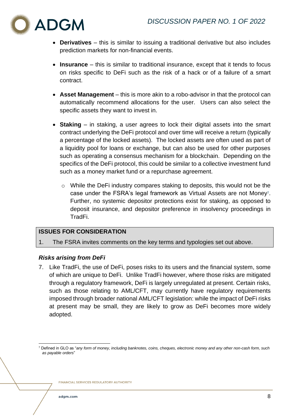

- **Derivatives** this is similar to issuing a traditional derivative but also includes prediction markets for non-financial events.
- **Insurance** this is similar to traditional insurance, except that it tends to focus on risks specific to DeFi such as the risk of a hack or of a failure of a smart contract.
- **Asset Management** this is more akin to a robo-advisor in that the protocol can automatically recommend allocations for the user. Users can also select the specific assets they want to invest in.
- **Staking** in staking, a user agrees to lock their digital assets into the smart contract underlying the DeFi protocol and over time will receive a return (typically a percentage of the locked assets). The locked assets are often used as part of a liquidity pool for loans or exchange, but can also be used for other purposes such as operating a consensus mechanism for a blockchain. Depending on the specifics of the DeFi protocol, this could be similar to a collective investment fund such as a money market fund or a repurchase agreement.
	- o While the DeFi industry compares staking to deposits, this would not be the case under the FSRA's legal framework as Virtual Assets are not Money7. Further, no systemic depositor protections exist for staking, as opposed to deposit insurance, and depositor preference in insolvency proceedings in TradFi.

# **ISSUES FOR CONSIDERATION**

1. The FSRA invites comments on the key terms and typologies set out above.

# <span id="page-7-0"></span>*Risks arising from DeFi*

7. Like TradFi, the use of DeFi, poses risks to its users and the financial system, some of which are unique to DeFi. Unlike TradFi however, where those risks are mitigated through a regulatory framework, DeFi is largely unregulated at present. Certain risks, such as those relating to AML/CFT, may currently have regulatory requirements imposed through broader national AML/CFT legislation: while the impact of DeFi risks at present may be small, they are likely to grow as DeFi becomes more widely adopted.

<sup>7</sup> Defined in GLO as "*any form of money, including banknotes, coins, cheques, electronic money and any other non-cash form, such as payable orders*"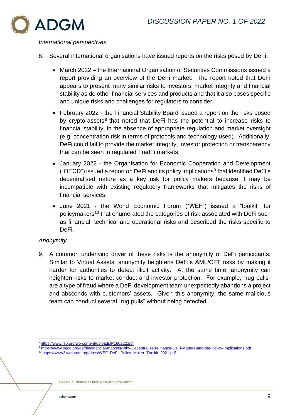

#### *International perspectives*

- 8. Several international organisations have issued reports on the risks posed by DeFi.
	- March 2022 the International Organisation of Securities Commissions issued a report providing an overview of the DeFi market. The report noted that DeFi appears to present many similar risks to investors, market integrity and financial stability as do other financial services and products and that it also poses specific and unique risks and challenges for regulators to consider.
	- February 2022 the Financial Stability Board issued a report on the risks posed by crypto-assets<sup>8</sup> that noted that DeFi has the potential to increase risks to financial stability, in the absence of appropriate regulation and market oversight (e.g. concentration risk in terms of protocols and technology used). Additionally, DeFi could fail to provide the market integrity, investor protection or transparency that can be seen in regulated TradFi markets.
	- January 2022 the Organisation for Economic Cooperation and Development ("OECD") issued a report on DeFi and its policy implications<sup>9</sup> that identified DeFi's decentralised nature as a key risk for policy makers because it may be incompatible with existing regulatory frameworks that mitigates the risks of financial services.
	- June 2021 the World Economic Forum ("WEF") issued a "toolkit" for policymakers<sup>10</sup> that enumerated the categories of risk associated with DeFi such as financial, technical and operational risks and described the risks specific to DeFi.

# *Anonymity*

9. A common underlying driver of these risks is the anonymity of DeFi participants. Similar to Virtual Assets, anonymity heightens DeFi's AML/CFT risks by making it harder for authorities to detect illicit activity. At the same time, anonymity can heighten risks to market conduct and investor protection. For example, "rug pulls" are a type of fraud where a DeFi development team unexpectedly abandons a project and absconds with customers' assets. Given this anonymity, the same malicious team can conduct several "rug pulls" without being detected.

[https://www3.weforum.org/docs/WEF\\_DeFi\\_Policy\\_Maker\\_Toolkit\\_2021.pdf](https://www3.weforum.org/docs/WEF_DeFi_Policy_Maker_Toolkit_2021.pdf)

<sup>8</sup> <https://www.fsb.org/wp-content/uploads/P160222.pdf>

<sup>9</sup> <https://www.oecd.org/daf/fin/financial-markets/Why-Decentralised-Finance-DeFi-Matters-and-the-Policy-Implications.pdf>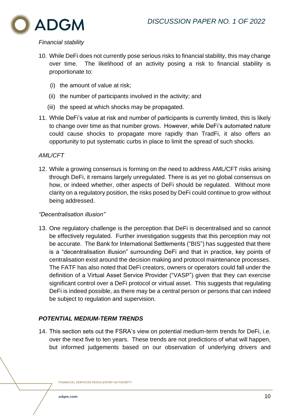

# *Financial stability*

- 10. While DeFi does not currently pose serious risks to financial stability, this may change over time. The likelihood of an activity posing a risk to financial stability is proportionate to:
	- (i) the amount of value at risk;
	- (ii) the number of participants involved in the activity; and
	- (iii) the speed at which shocks may be propagated.
- 11. While DeFi's value at risk and number of participants is currently limited, this is likely to change over time as that number grows. However, while DeFi's automated nature could cause shocks to propagate more rapidly than TradFi, it also offers an opportunity to put systematic curbs in place to limit the spread of such shocks.

# *AML/CFT*

12. While a growing consensus is forming on the need to address AML/CFT risks arising through DeFi, it remains largely unregulated. There is as yet no global consensus on how, or indeed whether, other aspects of DeFi should be regulated. Without more clarity on a regulatory position, the risks posed by DeFi could continue to grow without being addressed.

# *"Decentralisation illusion"*

13. One regulatory challenge is the perception that DeFi is decentralised and so cannot be effectively regulated. Further investigation suggests that this perception may not be accurate. The Bank for International Settlements ("BIS") has suggested that there is a "decentralisation illusion" surrounding DeFi and that in practice, key points of centralisation exist around the decision making and protocol maintenance processes. The FATF has also noted that DeFi creators, owners or operators could fall under the definition of a Virtual Asset Service Provider ("VASP") given that they can exercise significant control over a DeFi protocol or virtual asset. This suggests that regulating DeFi is indeed possible, as there may be a central person or persons that can indeed be subject to regulation and supervision.

# <span id="page-9-0"></span>*POTENTIAL MEDIUM-TERM TRENDS*

14. This section sets out the FSRA's view on potential medium-term trends for DeFi, i.e. over the next five to ten years. These trends are not predictions of what will happen, but informed judgements based on our observation of underlying drivers and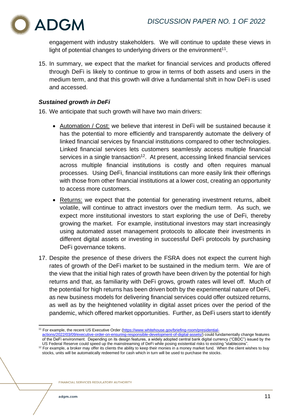

engagement with industry stakeholders. We will continue to update these views in light of potential changes to underlying drivers or the environment $11$ .

15. In summary, we expect that the market for financial services and products offered through DeFi is likely to continue to grow in terms of both assets and users in the medium term, and that this growth will drive a fundamental shift in how DeFi is used and accessed.

# <span id="page-10-0"></span>*Sustained growth in DeFi*

16. We anticipate that such growth will have two main drivers:

- Automation / Cost: we believe that interest in DeFi will be sustained because it has the potential to more efficiently and transparently automate the delivery of linked financial services by financial institutions compared to other technologies. Linked financial services lets customers seamlessly access multiple financial services in a single transaction<sup>12</sup>. At present, accessing linked financial services across multiple financial institutions is costly and often requires manual processes. Using DeFi, financial institutions can more easily link their offerings with those from other financial institutions at a lower cost, creating an opportunity to access more customers.
- Returns: we expect that the potential for generating investment returns, albeit volatile, will continue to attract investors over the medium term. As such, we expect more institutional investors to start exploring the use of DeFi, thereby growing the market. For example, institutional investors may start increasingly using automated asset management protocols to allocate their investments in different digital assets or investing in successful DeFi protocols by purchasing DeFi governance tokens.
- 17. Despite the presence of these drivers the FSRA does not expect the current high rates of growth of the DeFi market to be sustained in the medium term. We are of the view that the initial high rates of growth have been driven by the potential for high returns and that, as familiarity with DeFi grows, growth rates will level off. Much of the potential for high returns has been driven both by the experimental nature of DeFi, as new business models for delivering financial services could offer outsized returns, as well as by the heightened volatility in digital asset prices over the period of the pandemic, which offered market opportunities. Further, as DeFi users start to identify

<sup>&</sup>lt;sup>11</sup> For example, the recent US Executive Order [\(https://www.whitehouse.gov/briefing-room/presidential-](https://www.whitehouse.gov/briefing-room/presidential-actions/2022/03/09/executive-order-on-ensuring-responsible-development-of-digital-assets/)

[actions/2022/03/09/executive-order-on-ensuring-responsible-development-of-digital-assets/\)](https://www.whitehouse.gov/briefing-room/presidential-actions/2022/03/09/executive-order-on-ensuring-responsible-development-of-digital-assets/) could fundamentally change features of the DeFi environment. Depending on its design features, a widely adopted central bank digital currency ("CBDC") issued by the US Federal Reserve could speed up the mainstreaming of DeFi while posing existential risks to existing "stablecoins".

 $12$  For example, a broker may offer its clients the ability to keep their monies in a money market fund. When the client wishes to buy stocks, units will be automatically redeemed for cash which in turn will be used to purchase the stocks.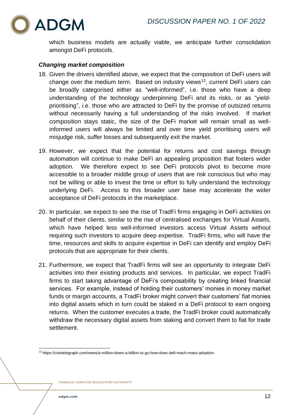

which business models are actually viable, we anticipate further consolidation amongst DeFi protocols.

# <span id="page-11-0"></span>*Changing market composition*

- 18. Given the drivers identified above, we expect that the composition of DeFi users will change over the medium term. Based on industry views<sup>13</sup>, current DeFi users can be broadly categorised either as "well-informed", i.e. those who have a deep understanding of the technology underpinning DeFi and its risks, or as "yieldprioritising", i.e. those who are attracted to DeFi by the promise of outsized returns without necessarily having a full understanding of the risks involved. If market composition stays static, the size of the DeFi market will remain small as wellinformed users will always be limited and over time yield prioritising users will misjudge risk, suffer losses and subsequently exit the market.
- 19. However, we expect that the potential for returns and cost savings through automation will continue to make DeFi an appealing proposition that fosters wider adoption. We therefore expect to see DeFi protocols pivot to become more accessible to a broader middle group of users that are risk conscious but who may not be willing or able to invest the time or effort to fully understand the technology underlying DeFi. Access to this broader user base may accelerate the wider acceptance of DeFi protocols in the marketplace.
- 20. In particular, we expect to see the rise of TradFi firms engaging in DeFi activities on behalf of their clients, similar to the rise of centralised exchanges for Virtual Assets, which have helped less well-informed investors access Virtual Assets without requiring such investors to acquire deep expertise. TradFi firms, who will have the time, resources and skills to acquire expertise in DeFi can identify and employ DeFi protocols that are appropriate for their clients.
- 21. Furthermore, we expect that TradFi firms will see an opportunity to integrate DeFi activities into their existing products and services. In particular, we expect TradFi firms to start taking advantage of DeFi's composability by creating linked financial services. For example, instead of holding their customers' monies in money market funds or margin accounts, a TradFi broker might convert their customers' fiat monies into digital assets which in turn could be staked in a DeFi protocol to earn ongoing returns. When the customer executes a trade, the TradFi broker could automatically withdraw the necessary digital assets from staking and convert them to fiat for trade settlement.

<sup>13</sup> https://cointelegraph.com/news/a-million-down-a-billion-to-go-how-does-defi-reach-mass-adoption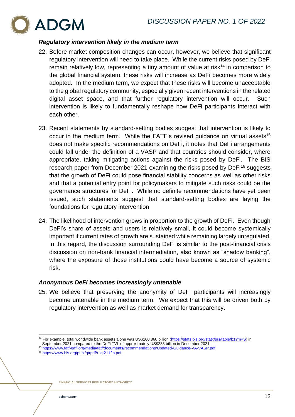

# <span id="page-12-0"></span>*Regulatory intervention likely in the medium term*

- 22. Before market composition changes can occur, however, we believe that significant regulatory intervention will need to take place. While the current risks posed by DeFi remain relatively low, representing a tiny amount of value at risk<sup>14</sup> in comparison to the global financial system, these risks will increase as DeFi becomes more widely adopted. In the medium term, we expect that these risks will become unacceptable to the global regulatory community, especially given recent interventions in the related digital asset space, and that further regulatory intervention will occur. Such intervention is likely to fundamentally reshape how DeFi participants interact with each other.
- 23. Recent statements by standard-setting bodies suggest that intervention is likely to occur in the medium term. While the FATF's revised guidance on virtual assets<sup>15</sup> does not make specific recommendations on DeFi, it notes that DeFi arrangements could fall under the definition of a VASP and that countries should consider, where appropriate, taking mitigating actions against the risks posed by DeFi. The BIS research paper from December 2021 examining the risks posed by DeFi<sup>16</sup> suggests that the growth of DeFi could pose financial stability concerns as well as other risks and that a potential entry point for policymakers to mitigate such risks could be the governance structures for DeFi. While no definite recommendations have yet been issued, such statements suggest that standard-setting bodies are laying the foundations for regulatory intervention.
- 24. The likelihood of intervention grows in proportion to the growth of DeFi. Even though DeFi's share of assets and users is relatively small, it could become systemically important if current rates of growth are sustained while remaining largely unregulated. In this regard, the discussion surrounding DeFi is similar to the post-financial crisis discussion on non-bank financial intermediation, also known as "shadow banking", where the exposure of those institutions could have become a source of systemic risk.

# <span id="page-12-1"></span>*Anonymous DeFi becomes increasingly untenable*

25. We believe that preserving the anonymity of DeFi participants will increasingly become untenable in the medium term. We expect that this will be driven both by regulatory intervention as well as market demand for transparency.

<sup>16</sup> [https://www.bis.org/publ/qtrpdf/r\\_qt2112b.pdf](https://www.bis.org/publ/qtrpdf/r_qt2112b.pdf)

<sup>14</sup> For example, total worldwide bank assets alone was US\$100,860 billion [\(https://stats.bis.org/statx/srs/table/b1?m=S\)](https://stats.bis.org/statx/srs/table/b1?m=S) in

September 2021 compared to the DeFi TVL of approximately US\$238 billion in December 2021.

<sup>15</sup> <https://www.fatf-gafi.org/media/fatf/documents/recommendations/Updated-Guidance-VA-VASP.pdf>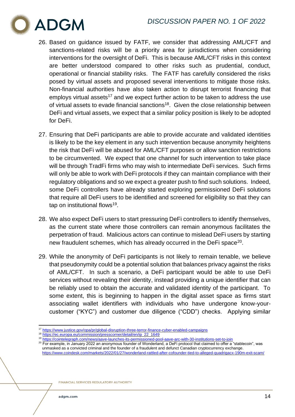

- 26. Based on guidance issued by FATF, we consider that addressing AML/CFT and sanctions-related risks will be a priority area for jurisdictions when considering interventions for the oversight of DeFi. This is because AML/CFT risks in this context are better understood compared to other risks such as prudential, conduct, operational or financial stability risks. The FATF has carefully considered the risks posed by virtual assets and proposed several interventions to mitigate those risks. Non-financial authorities have also taken action to disrupt terrorist financing that employs virtual assets<sup>17</sup> and we expect further action to be taken to address the use of virtual assets to evade financial sanctions<sup>18</sup>. Given the close relationship between DeFi and virtual assets, we expect that a similar policy position is likely to be adopted for DeFi.
- 27. Ensuring that DeFi participants are able to provide accurate and validated identities is likely to be the key element in any such intervention because anonymity heightens the risk that DeFi will be abused for AML/CFT purposes or allow sanction restrictions to be circumvented. We expect that one channel for such intervention to take place will be through TradFi firms who may wish to intermediate DeFi services. Such firms will only be able to work with DeFi protocols if they can maintain compliance with their regulatory obligations and so we expect a greater push to find such solutions. Indeed, some DeFi controllers have already started exploring permissioned DeFi solutions that require all DeFi users to be identified and screened for eligibility so that they can tap on institutional flows<sup>19</sup>.
- 28. We also expect DeFi users to start pressuring DeFi controllers to identify themselves, as the current state where those controllers can remain anonymous facilitates the perpetration of fraud. Malicious actors can continue to mislead DeFi users by starting new fraudulent schemes, which has already occurred in the DeFi space<sup>20</sup>.
- 29. While the anonymity of DeFi participants is not likely to remain tenable, we believe that pseudonymity could be a potential solution that balances privacy against the risks of AML/CFT. In such a scenario, a DeFi participant would be able to use DeFi services without revealing their identity, instead providing a unique identifier that can be reliably used to obtain the accurate and validated identity of the participant. To some extent, this is beginning to happen in the digital asset space as firms start associating wallet identifiers with individuals who have undergone know-yourcustomer ("KYC") and customer due diligence ("CDD") checks. Applying similar

<sup>17</sup> <https://www.justice.gov/opa/pr/global-disruption-three-terror-finance-cyber-enabled-campaigns>

<sup>18</sup> [https://ec.europa.eu/commission/presscorner/detail/en/ip\\_22\\_1649](https://ec.europa.eu/commission/presscorner/detail/en/ip_22_1649)

<sup>&</sup>lt;sup>19</sup> <https://cointelegraph.com/news/aave-launches-its-permissioned-pool-aave-arc-with-30-institutions-set-to-join><br><sup>20</sup> Fer eventle, in January 2022 as enormained funder of Menderland, a De Finanteeel that eleimed to effect

<sup>20</sup> For example, in January 2022 an anonymous founder of Wonderland, a DeFi protocol that claimed to offer a "stablecoin", was unmasked as a convicted criminal and the founder of a fraudulent and defunct Canadian cryptocurrency exchange. <https://www.coindesk.com/markets/2022/01/27/wonderland-rattled-after-cofounder-tied-to-alleged-quadrigacx-190m-exit-scam/>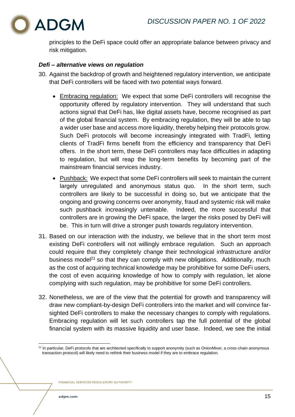

principles to the DeFi space could offer an appropriate balance between privacy and risk mitigation.

# <span id="page-14-0"></span>*Defi – alternative views on regulation*

- 30. Against the backdrop of growth and heightened regulatory intervention, we anticipate that DeFi controllers will be faced with two potential ways forward.
	- Embracing regulation: We expect that some DeFi controllers will recognise the opportunity offered by regulatory intervention. They will understand that such actions signal that DeFi has, like digital assets have, become recognised as part of the global financial system. By embracing regulation, they will be able to tap a wider user base and access more liquidity, thereby helping their protocols grow. Such DeFi protocols will become increasingly integrated with TradFi, letting clients of TradFi firms benefit from the efficiency and transparency that DeFi offers. In the short term, these DeFi controllers may face difficulties in adapting to regulation, but will reap the long-term benefits by becoming part of the mainstream financial services industry.
	- Pushback: We expect that some DeFi controllers will seek to maintain the current largely unregulated and anonymous status quo. In the short term, such controllers are likely to be successful in doing so, but we anticipate that the ongoing and growing concerns over anonymity, fraud and systemic risk will make such pushback increasingly untenable. Indeed, the more successful that controllers are in growing the DeFi space, the larger the risks posed by DeFi will be. This in turn will drive a stronger push towards regulatory intervention.
- 31. Based on our interaction with the industry, we believe that in the short term most existing DeFi controllers will not willingly embrace regulation. Such an approach could require that they completely change their technological infrastructure and/or business model<sup>21</sup> so that they can comply with new obligations. Additionally, much as the cost of acquiring technical knowledge may be prohibitive for some DeFi users, the cost of even acquiring knowledge of how to comply with regulation, let alone complying with such regulation, may be prohibitive for some DeFi controllers.
- 32. Nonetheless, we are of the view that the potential for growth and transparency will draw new compliant-by-design DeFi controllers into the market and will convince farsighted DeFi controllers to make the necessary changes to comply with regulations. Embracing regulation will let such controllers tap the full potential of the global financial system with its massive liquidity and user base. Indeed, we see the initial

<sup>&</sup>lt;sup>21</sup> In particular, DeFi protocols that are architected specifically to support anonymity (such as OnionMixer, a cross-chain anonymous transaction protocol) will likely need to rethink their business model if they are to embrace regulation.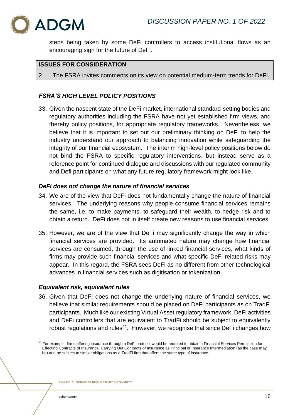

steps being taken by some DeFi controllers to access institutional flows as an encouraging sign for the future of DeFi.

# **ISSUES FOR CONSIDERATION**

2. The FSRA invites comments on its view on potential medium-term trends for DeFi.

# <span id="page-15-0"></span>*FSRA'S HIGH LEVEL POLICY POSITIONS*

33. Given the nascent state of the DeFi market, international standard-setting bodies and regulatory authorities including the FSRA have not yet established firm views, and thereby policy positions, for appropriate regulatory frameworks. Nevertheless, we believe that it is important to set out our preliminary thinking on DeFi to help the industry understand our approach to balancing innovation while safeguarding the integrity of our financial ecosystem. The interim high-level policy positions below do not bind the FSRA to specific regulatory interventions, but instead serve as a reference point for continued dialogue and discussions with our regulated community and Defi participants on what any future regulatory framework might look like.

# <span id="page-15-1"></span>*DeFi does not change the nature of financial services*

- 34. We are of the view that DeFi does not fundamentally change the nature of financial services. The underlying reasons why people consume financial services remains the same, i.e. to make payments, to safeguard their wealth, to hedge risk and to obtain a return. DeFi does not in itself create new reasons to use financial services.
- 35. However, we are of the view that DeFi may significantly change the way in which financial services are provided. Its automated nature may change how financial services are consumed, through the use of linked financial services, what kinds of firms may provide such financial services and what specific DeFi-related risks may appear. In this regard, the FSRA sees DeFi as no different from other technological advances in financial services such as digitisation or tokenization.

# <span id="page-15-2"></span>*Equivalent risk, equivalent rules*

36. Given that DeFi does not change the underlying nature of financial services, we believe that similar requirements should be placed on DeFi participants as on TradFi participants. Much like our existing Virtual Asset regulatory framework, DeFi activities and DeFi controllers that are equivalent to TradFi should be subject to equivalently robust regulations and rules<sup>22</sup>. However, we recognise that since DeFi changes how

 $^{22}$  For example, firms offering insurance through a DeFi protocol would be required to obtain a Financial Services Permission for Effecting Contracts of Insurance, Carrying Out Contracts of Insurance as Principal or Insurance Intermediation (as the case may be) and be subject to similar obligations as a TradFi firm that offers the same type of insurance.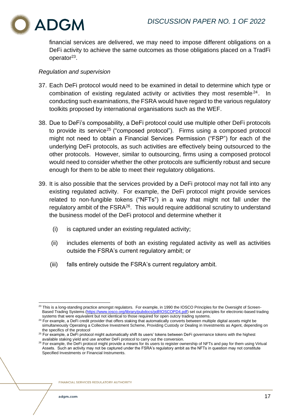

financial services are delivered, we may need to impose different obligations on a DeFi activity to achieve the same outcomes as those obligations placed on a TradFi operator<sup>23</sup>.

#### *Regulation and supervision*

- 37. Each DeFi protocol would need to be examined in detail to determine which type or combination of existing regulated activity or activities they most resemble<sup>24</sup>. In conducting such examinations, the FSRA would have regard to the various regulatory toolkits proposed by international organisations such as the WEF.
- 38. Due to DeFi's composability, a DeFi protocol could use multiple other DeFi protocols to provide its service<sup>25</sup> ("composed protocol"). Firms using a composed protocol might not need to obtain a Financial Services Permission ("FSP") for each of the underlying DeFi protocols, as such activities are effectively being outsourced to the other protocols. However, similar to outsourcing, firms using a composed protocol would need to consider whether the other protocols are sufficiently robust and secure enough for them to be able to meet their regulatory obligations.
- 39. It is also possible that the services provided by a DeFi protocol may not fall into any existing regulated activity. For example, the DeFi protocol might provide services related to non-fungible tokens ("NFTs") in a way that might not fall under the regulatory ambit of the FSRA<sup>26</sup>. This would require additional scrutiny to understand the business model of the DeFi protocol and determine whether it
	- (i) is captured under an existing regulated activity;
	- (ii) includes elements of both an existing regulated activity as well as activities outside the FSRA's current regulatory ambit; or
	- (iii) falls entirely outside the FSRA's current regulatory ambit.

<sup>&</sup>lt;sup>23</sup> This is a long-standing practice amongst regulators. For example, in 1990 the IOSCO Principles for the Oversight of Screen-Based Trading Systems [\(https://www.iosco.org/library/pubdocs/pdf/IOSCOPD4.pdf\)](https://www.iosco.org/library/pubdocs/pdf/IOSCOPD4.pdf) set out principles for electronic-based trading systems that were equivalent but not identical to those required for open outcry trading systems.

<sup>&</sup>lt;sup>24</sup> For example, a DeFi credit provider that offers staking that automatically converts between multiple digital assets might be simultaneously Operating a Collective Investment Scheme, Providing Custody or Dealing in Investments as Agent, depending on the specifics of the protocol

<sup>&</sup>lt;sup>25</sup> For example, a DeFi protocol might automatically shift its users' tokens between DeFi governance tokens with the highest available staking yield and use another DeFi protocol to carry out the conversion.

<sup>&</sup>lt;sup>26</sup> For example, the DeFi protocol might provide a means for its users to register ownership of NFTs and pay for them using Virtual Assets. Such an activity may not be captured under the FSRA's regulatory ambit as the NFTs in question may not constitute Specified Investments or Financial Instruments.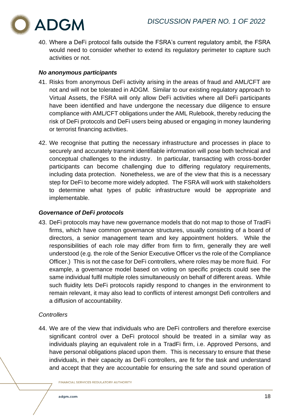

40. Where a DeFi protocol falls outside the FSRA's current regulatory ambit, the FSRA would need to consider whether to extend its regulatory perimeter to capture such activities or not.

# <span id="page-17-0"></span>*No anonymous participants*

- 41. Risks from anonymous DeFi activity arising in the areas of fraud and AML/CFT are not and will not be tolerated in ADGM. Similar to our existing regulatory approach to Virtual Assets, the FSRA will only allow DeFi activities where all DeFi participants have been identified and have undergone the necessary due diligence to ensure compliance with AML/CFT obligations under the AML Rulebook, thereby reducing the risk of DeFi protocols and DeFi users being abused or engaging in money laundering or terrorist financing activities.
- 42. We recognise that putting the necessary infrastructure and processes in place to securely and accurately transmit identifiable information will pose both technical and conceptual challenges to the industry. In particular, transacting with cross-border participants can become challenging due to differing regulatory requirements, including data protection. Nonetheless, we are of the view that this is a necessary step for DeFi to become more widely adopted. The FSRA will work with stakeholders to determine what types of public infrastructure would be appropriate and implementable.

# <span id="page-17-1"></span>*Governance of DeFi protocols*

43. DeFi protocols may have new governance models that do not map to those of TradFi firms, which have common governance structures, usually consisting of a board of directors, a senior management team and key appointment holders. While the responsibilities of each role may differ from firm to firm, generally they are well understood (e.g. the role of the Senior Executive Officer vs the role of the Compliance Officer.) This is not the case for DeFi controllers, where roles may be more fluid. For example, a governance model based on voting on specific projects could see the same individual fulfil multiple roles simultaneously on behalf of different areas. While such fluidity lets DeFi protocols rapidly respond to changes in the environment to remain relevant, it may also lead to conflicts of interest amongst Defi controllers and a diffusion of accountability.

# *Controllers*

44. We are of the view that individuals who are DeFi controllers and therefore exercise significant control over a DeFi protocol should be treated in a similar way as individuals playing an equivalent role in a TradFi firm, i.e. Approved Persons, and have personal obligations placed upon them. This is necessary to ensure that these individuals, in their capacity as DeFi controllers, are fit for the task and understand and accept that they are accountable for ensuring the safe and sound operation of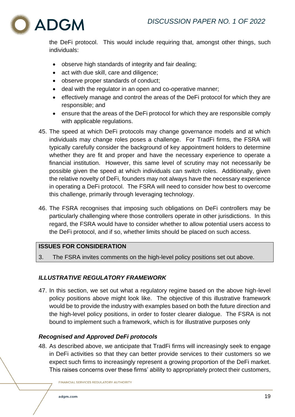

the DeFi protocol. This would include requiring that, amongst other things, such individuals:

- observe high standards of integrity and fair dealing;
- act with due skill, care and diligence;
- observe proper standards of conduct;
- deal with the regulator in an open and co-operative manner;
- effectively manage and control the areas of the DeFi protocol for which they are responsible; and
- ensure that the areas of the DeFi protocol for which they are responsible comply with applicable regulations.
- 45. The speed at which DeFi protocols may change governance models and at which individuals may change roles poses a challenge. For TradFi firms, the FSRA will typically carefully consider the background of key appointment holders to determine whether they are fit and proper and have the necessary experience to operate a financial institution. However, this same level of scrutiny may not necessarily be possible given the speed at which individuals can switch roles. Additionally, given the relative novelty of DeFi, founders may not always have the necessary experience in operating a DeFi protocol. The FSRA will need to consider how best to overcome this challenge, primarily through leveraging technology.
- 46. The FSRA recognises that imposing such obligations on DeFi controllers may be particularly challenging where those controllers operate in other jurisdictions. In this regard, the FSRA would have to consider whether to allow potential users access to the DeFi protocol, and if so, whether limits should be placed on such access.

# **ISSUES FOR CONSIDERATION**

3. The FSRA invites comments on the high-level policy positions set out above.

# <span id="page-18-0"></span>*ILLUSTRATIVE REGULATORY FRAMEWORK*

47. In this section, we set out what a regulatory regime based on the above high-level policy positions above might look like. The objective of this illustrative framework would be to provide the industry with examples based on both the future direction and the high-level policy positions, in order to foster clearer dialogue. The FSRA is not bound to implement such a framework, which is for illustrative purposes only

# <span id="page-18-1"></span>*Recognised and Approved DeFi protocols*

48. As described above, we anticipate that TradFi firms will increasingly seek to engage in DeFi activities so that they can better provide services to their customers so we expect such firms to increasingly represent a growing proportion of the DeFi market. This raises concerns over these firms' ability to appropriately protect their customers,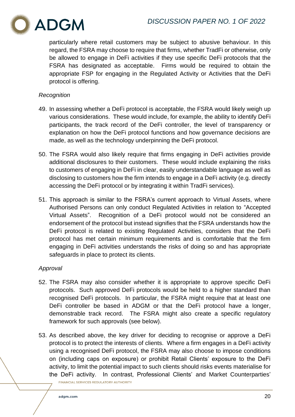

particularly where retail customers may be subject to abusive behaviour. In this regard, the FSRA may choose to require that firms, whether TradFi or otherwise, only be allowed to engage in DeFi activities if they use specific DeFi protocols that the FSRA has designated as acceptable. Firms would be required to obtain the appropriate FSP for engaging in the Regulated Activity or Activities that the DeFi protocol is offering.

# *Recognition*

- 49. In assessing whether a DeFi protocol is acceptable, the FSRA would likely weigh up various considerations. These would include, for example, the ability to identify DeFi participants, the track record of the DeFi controller, the level of transparency or explanation on how the DeFi protocol functions and how governance decisions are made, as well as the technology underpinning the DeFi protocol.
- 50. The FSRA would also likely require that firms engaging in DeFi activities provide additional disclosures to their customers. These would include explaining the risks to customers of engaging in DeFi in clear, easily understandable language as well as disclosing to customers how the firm intends to engage in a DeFi activity (e.g. directly accessing the DeFi protocol or by integrating it within TradFi services).
- 51. This approach is similar to the FSRA's current approach to Virtual Assets, where Authorised Persons can only conduct Regulated Activities in relation to "Accepted Virtual Assets". Recognition of a DeFi protocol would not be considered an endorsement of the protocol but instead signifies that the FSRA understands how the DeFi protocol is related to existing Regulated Activities, considers that the DeFi protocol has met certain minimum requirements and is comfortable that the firm engaging in DeFi activities understands the risks of doing so and has appropriate safeguards in place to protect its clients.

# *Approval*

- 52. The FSRA may also consider whether it is appropriate to approve specific DeFi protocols. Such approved DeFi protocols would be held to a higher standard than recognised DeFi protocols. In particular, the FSRA might require that at least one DeFi controller be based in ADGM or that the DeFi protocol have a longer, demonstrable track record. The FSRA might also create a specific regulatory framework for such approvals (see below).
- 53. As described above, the key driver for deciding to recognise or approve a DeFi protocol is to protect the interests of clients. Where a firm engages in a DeFi activity using a recognised DeFi protocol, the FSRA may also choose to impose conditions on (including caps on exposure) or prohibit Retail Clients' exposure to the DeFi activity, to limit the potential impact to such clients should risks events materialise for the DeFi activity. In contrast, Professional Clients' and Market Counterparties'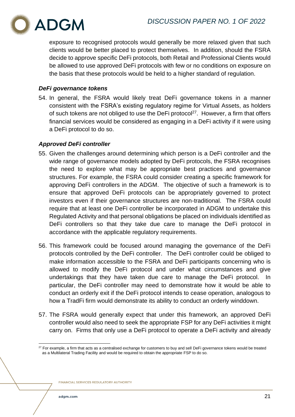

exposure to recognised protocols would generally be more relaxed given that such clients would be better placed to protect themselves. In addition, should the FSRA decide to approve specific DeFi protocols, both Retail and Professional Clients would be allowed to use approved DeFi protocols with few or no conditions on exposure on the basis that these protocols would be held to a higher standard of regulation.

# <span id="page-20-0"></span>*DeFi governance tokens*

54. In general, the FSRA would likely treat DeFi governance tokens in a manner consistent with the FSRA's existing regulatory regime for Virtual Assets, as holders of such tokens are not obliged to use the DeFi protocol<sup>27</sup>. However, a firm that offers financial services would be considered as engaging in a DeFi activity if it were using a DeFi protocol to do so.

# <span id="page-20-1"></span>*Approved DeFi controller*

- 55. Given the challenges around determining which person is a DeFi controller and the wide range of governance models adopted by DeFi protocols, the FSRA recognises the need to explore what may be appropriate best practices and governance structures. For example, the FSRA could consider creating a specific framework for approving DeFi controllers in the ADGM. The objective of such a framework is to ensure that approved DeFi protocols can be appropriately governed to protect investors even if their governance structures are non-traditional. The FSRA could require that at least one DeFi controller be incorporated in ADGM to undertake this Regulated Activity and that personal obligations be placed on individuals identified as DeFi controllers so that they take due care to manage the DeFi protocol in accordance with the applicable regulatory requirements.
- 56. This framework could be focused around managing the governance of the DeFi protocols controlled by the DeFi controller. The DeFi controller could be obliged to make information accessible to the FSRA and DeFi participants concerning who is allowed to modify the DeFi protocol and under what circumstances and give undertakings that they have taken due care to manage the DeFi protocol. In particular, the DeFi controller may need to demonstrate how it would be able to conduct an orderly exit if the DeFi protocol intends to cease operation, analogous to how a TradFi firm would demonstrate its ability to conduct an orderly winddown.
- 57. The FSRA would generally expect that under this framework, an approved DeFi controller would also need to seek the appropriate FSP for any DeFi activities it might carry on. Firms that only use a DeFi protocol to operate a DeFi activity and already

 $27$  For example, a firm that acts as a centralised exchange for customers to buy and sell DeFi governance tokens would be treated as a Multilateral Trading Facility and would be required to obtain the appropriate FSP to do so.